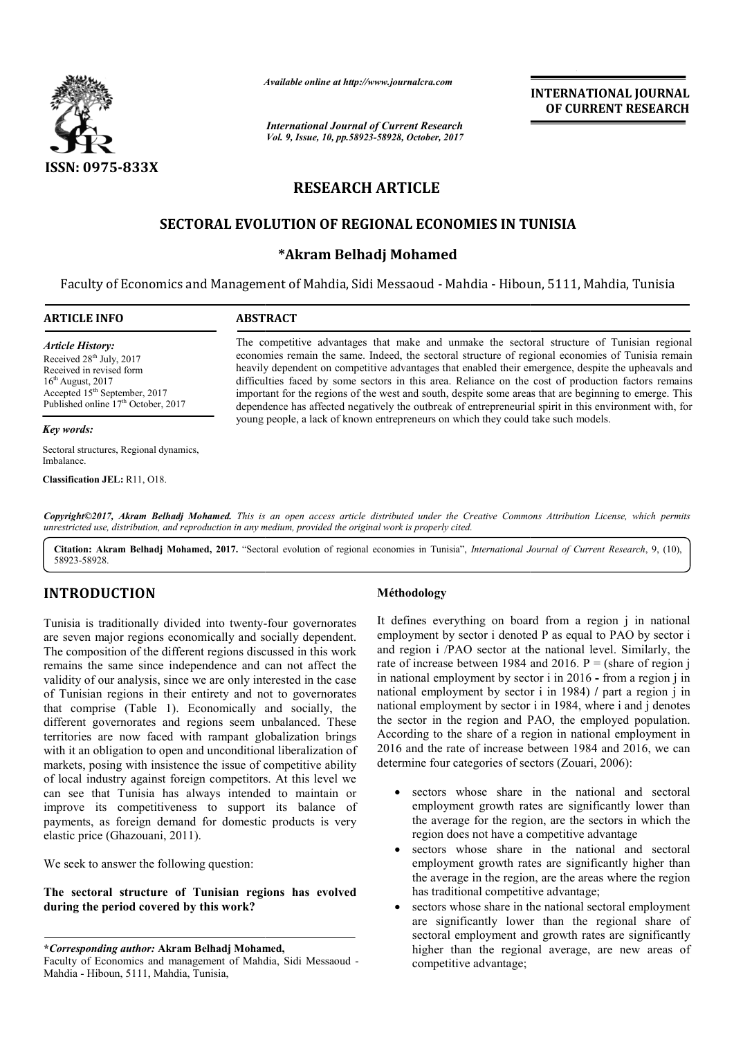

*Available online at http://www.journal http://www.journalcra.com*

*International Journal of Current Research Vol. 9, Issue, 10, pp.58923-58928, October, 2017* **INTERNATIONAL JOURNAL OF CURRENT RESEARCH** 

# **RESEARCH ARTICLE**

# **SECTORAL EVOLUTION OF REGIONAL ECONOMIES IN TUNISIA TUNISIA**

## **\*Akram Belhadj Mohamed**

Faculty of Economics and Management of Mahdia, Sidi Messaoud - Mahdia - Hiboun, 5111, Mahdia, Tunisia

| <b>ARTICLE INFO</b>                                                                                                                                                                                                | <b>ABSTRACT</b>                                                                                                                                                                                                                                                                                                                                                                                                                                                                                                                                                                                                                     |  |  |  |  |
|--------------------------------------------------------------------------------------------------------------------------------------------------------------------------------------------------------------------|-------------------------------------------------------------------------------------------------------------------------------------------------------------------------------------------------------------------------------------------------------------------------------------------------------------------------------------------------------------------------------------------------------------------------------------------------------------------------------------------------------------------------------------------------------------------------------------------------------------------------------------|--|--|--|--|
| <b>Article History:</b><br>Received 28 <sup>th</sup> July, 2017<br>Received in revised form<br>$16th$ August, 2017<br>Accepted 15 <sup>th</sup> September, 2017<br>Published online 17 <sup>th</sup> October, 2017 | The competitive advantages that make and unmake the sectoral structure of Tunisian regional<br>economies remain the same. Indeed, the sectoral structure of regional economies of Tunisia remain<br>heavily dependent on competitive advantages that enabled their emergence, despite the upheavals and<br>difficulties faced by some sectors in this area. Reliance on the cost of production factors remains<br>important for the regions of the west and south, despite some areas that are beginning to emerge. This<br>dependence has affected negatively the outbreak of entrepreneurial spirit in this environment with, for |  |  |  |  |
| Key words:                                                                                                                                                                                                         | young people, a lack of known entrepreneurs on which they could take such models.                                                                                                                                                                                                                                                                                                                                                                                                                                                                                                                                                   |  |  |  |  |
| Sectoral structures, Regional dynamics,<br>Imbalance.                                                                                                                                                              |                                                                                                                                                                                                                                                                                                                                                                                                                                                                                                                                                                                                                                     |  |  |  |  |
| Classification JEL: R11, O18.                                                                                                                                                                                      |                                                                                                                                                                                                                                                                                                                                                                                                                                                                                                                                                                                                                                     |  |  |  |  |

Copyright©2017, Akram Belhadj Mohamed. This is an open access article distributed under the Creative Commons Attribution License, which permits *unrestricted use, distribution, and reproduction in any medium, provided the original work is properly cited.*

Citation: Akram Belhadj Mohamed, 2017. "Sectoral evolution of regional economies in Tunisia", *International Journal of Current Research*, 9, (10), 58923-58928.

# **INTRODUCTION**

Tunisia is traditionally divided into twenty-four governorates are seven major regions economically and socially dependent. The composition of the different regions discussed in this work remains the same since independence and can not affect the validity of our analysis, since we are only interested in the case of Tunisian regions in their entirety and not to governorates that comprise (Table 1). Economically and socially, the different governorates and regions seem unbalanced. These territories are now faced with rampant globalization brings with it an obligation to open and unconditional liberalization of markets, posing with insistence the issue of competitive ability of local industry against foreign competitors. At this level we can see that Tunisia has always intended to maintain or of Tunisian regions in their entirety and not to governorates<br>that comprise (Table 1). Economically and socially, the<br>different governorates and regions seem unbalanced. These<br>territories are now faced with rampant globali payments, as foreign demand for domestic products is very elastic price (Ghazouani, 2011).

We seek to answer the following question:

**The sectoral structure of Tunisian regions has evolved during the period covered by this work?**

**\****Corresponding author:* **Akram Belhadj Mohamed,**

## **Méthodology**

It defines everything on board from a region j in national It defines everything on board from a region j in national employment by sector i denoted P as equal to PAO by sector i and region i /PAO sector at the national level. Similarly, the rate of increase between 1984 and 2016.  $P = (share of region j)$ in national employment by sector i in 2016 - from a region j in national employment by sector i in 1984) / part a region j in national employment by sector i in 1984, where i and j denotes the sector in the region and PAO, the employed population. According to the share of a region in national employment in 2016 and the rate of increase between 1984 and 2016, we can determine four categories of sectors (Zouari, 2006): onal employment by sector i in 1984, where i and j denotes sector in the region and PAO, the employed population.<br>ording to the share of a region in national employment in 6 and the rate of increase between 1984 and 2016,

- sectors whose share in the national and sectoral sectors whose share in the national and sectoral employment growth rates are significantly lower than the average for the region, are the sectors in which the region does not have a competitive advantage
- sectors whose share in the national and sectoral employment growth rates are significantly higher than the average in the region, are the areas where the region has traditional competitive advantage; region does not have a competitive advantage<br>sectors whose share in the national an<br>employment growth rates are significantly b<br>the average in the region, are the areas where<br>has traditional competitive advantage;
- sectors whose share in the national sectoral employment are significantly lower than the regional share of sectoral employment and growth rates are significantly are significantly lower than the regional share of sectoral employment and growth rates are significantly higher than the regional average, are new areas of competitive advantage;

Faculty of Economics and management of Mahdia, Sidi Messaoud - Mahdia - Hiboun, 5111, Mahdia, Tunisia,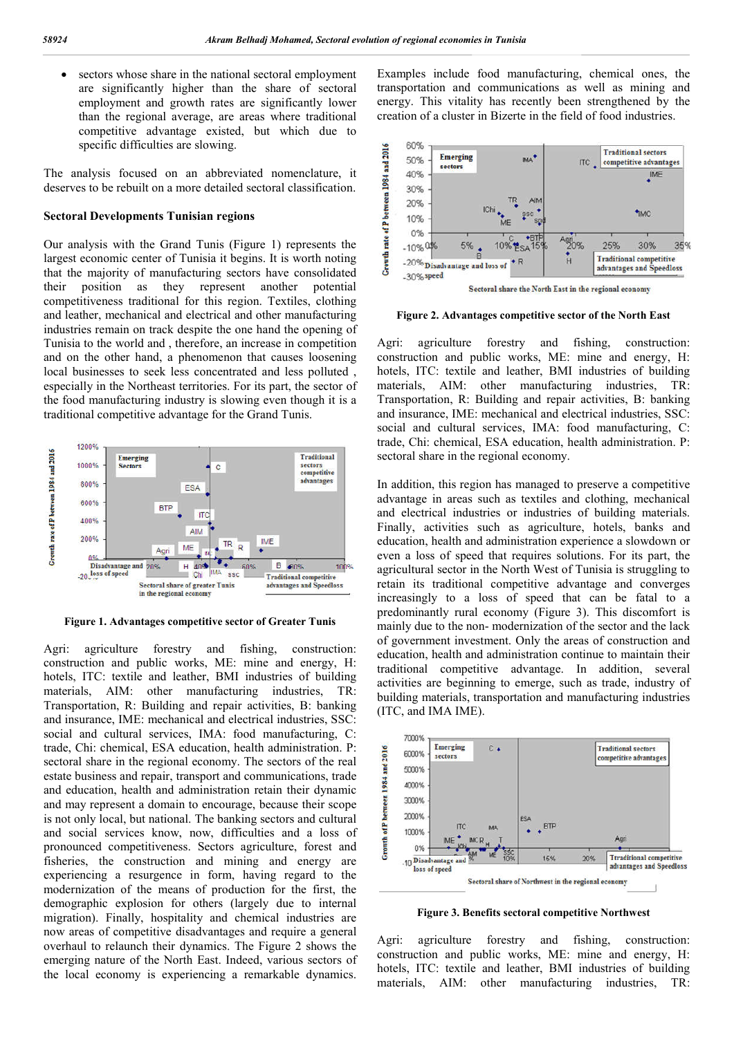sectors whose share in the national sectoral employment are significantly higher than the share of sectoral employment and growth rates are significantly lower than the regional average, are areas where traditional competitive advantage existed, but which due to specific difficulties are slowing.

The analysis focused on an abbreviated nomenclature, it deserves to be rebuilt on a more detailed sectoral classification.

#### **Sectoral Developments Tunisian regions**

Our analysis with the Grand Tunis (Figure 1) represents the largest economic center of Tunisia it begins. It is worth noting that the majority of manufacturing sectors have consolidated their position as they represent another potential competitiveness traditional for this region. Textiles, clothing and leather, mechanical and electrical and other manufacturing industries remain on track despite the one hand the opening of Tunisia to the world and , therefore, an increase in competition and on the other hand, a phenomenon that causes loosening local businesses to seek less concentrated and less polluted , especially in the Northeast territories. For its part, the sector of the food manufacturing industry is slowing even though it is a traditional competitive advantage for the Grand Tunis.



**Figure 1. Advantages competitive sector of Greater Tunis**

Agri: agriculture forestry and fishing, construction: construction and public works, ME: mine and energy, H: hotels, ITC: textile and leather, BMI industries of building materials, AIM: other manufacturing industries, TR: Transportation, R: Building and repair activities, B: banking and insurance, IME: mechanical and electrical industries, SSC: social and cultural services, IMA: food manufacturing, C: trade, Chi: chemical, ESA education, health administration. P: sectoral share in the regional economy. The sectors of the real estate business and repair, transport and communications, trade and education, health and administration retain their dynamic and may represent a domain to encourage, because their scope is not only local, but national. The banking sectors and cultural and social services know, now, difficulties and a loss of pronounced competitiveness. Sectors agriculture, forest and fisheries, the construction and mining and energy are experiencing a resurgence in form, having regard to the modernization of the means of production for the first, the demographic explosion for others (largely due to internal migration). Finally, hospitality and chemical industries are now areas of competitive disadvantages and require a general overhaul to relaunch their dynamics. The Figure 2 shows the emerging nature of the North East. Indeed, various sectors of the local economy is experiencing a remarkable dynamics.

Examples include food manufacturing, chemical ones, the transportation and communications as well as mining and energy. This vitality has recently been strengthened by the creation of a cluster in Bizerte in the field of food industries.



**Figure 2. Advantages competitive sector of the North East**

Agri: agriculture forestry and fishing, construction: construction and public works, ME: mine and energy, H: hotels, ITC: textile and leather, BMI industries of building materials, AIM: other manufacturing industries, TR: Transportation, R: Building and repair activities, B: banking and insurance, IME: mechanical and electrical industries, SSC: social and cultural services, IMA: food manufacturing, C: trade, Chi: chemical, ESA education, health administration. P: sectoral share in the regional economy.

In addition, this region has managed to preserve a competitive advantage in areas such as textiles and clothing, mechanical and electrical industries or industries of building materials. Finally, activities such as agriculture, hotels, banks and education, health and administration experience a slowdown or even a loss of speed that requires solutions. For its part, the agricultural sector in the North West of Tunisia is struggling to retain its traditional competitive advantage and converges increasingly to a loss of speed that can be fatal to a predominantly rural economy (Figure 3). This discomfort is mainly due to the non- modernization of the sector and the lack of government investment. Only the areas of construction and education, health and administration continue to maintain their traditional competitive advantage. In addition, several activities are beginning to emerge, such as trade, industry of building materials, transportation and manufacturing industries (ITC, and IMA IME).



**Figure 3. Benefits sectoral competitive Northwest**

Agri: agriculture forestry and fishing, construction: construction and public works, ME: mine and energy, H: hotels, ITC: textile and leather, BMI industries of building materials, AIM: other manufacturing industries, TR: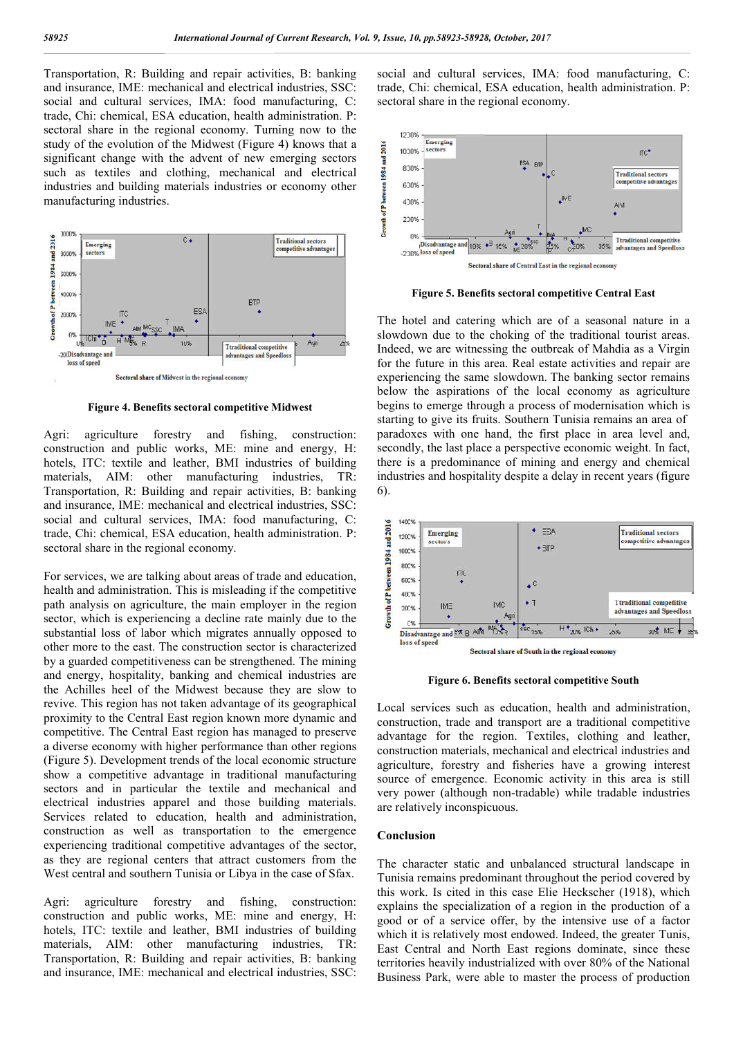Transportation, R: Building and repair activities, B: banking and insurance, IME: mechanical and electrical industries, SSC: social and cultural services, IMA: food manufacturing, C: trade, Chi: chemical, ESA education, health administration. P: sectoral share in the regional economy. Turning now to the study of the evolution of the Midwest (Figure 4) knows that a significant change with the advent of new emerging sectors such as textiles and clothing, mechanical and electrical industries and building materials industries or economy other manufacturing industries.



**Figure 4. Benefits sectoral competitive Midwest**

Agri: agriculture forestry and fishing, construction: construction and public works, ME: mine and energy, H: hotels, ITC: textile and leather, BMI industries of building materials, AIM: other manufacturing industries, TR: Transportation, R: Building and repair activities, B: banking and insurance, IME: mechanical and electrical industries, SSC: social and cultural services, IMA: food manufacturing, C: trade, Chi: chemical, ESA education, health administration. P: sectoral share in the regional economy.

For services, we are talking about areas of trade and education, health and administration. This is misleading if the competitive path analysis on agriculture, the main employer in the region sector, which is experiencing a decline rate mainly due to the substantial loss of labor which migrates annually opposed to other more to the east. The construction sector is characterized by a guarded competitiveness can be strengthened. The mining and energy, hospitality, banking and chemical industries are the Achilles heel of the Midwest because they are slow to revive. This region has not taken advantage of its geographical proximity to the Central East region known more dynamic and competitive. The Central East region has managed to preserve a diverse economy with higher performance than other regions (Figure 5). Development trends of the local economic structure show a competitive advantage in traditional manufacturing sectors and in particular the textile and mechanical and electrical industries apparel and those building materials. Services related to education, health and administration, construction as well as transportation to the emergence experiencing traditional competitive advantages of the sector, as they are regional centers that attract customers from the West central and southern Tunisia or Libya in the case of Sfax.

Agri: agriculture forestry and fishing, construction: construction and public works, ME: mine and energy, H: hotels, ITC: textile and leather, BMI industries of building materials, AIM: other manufacturing industries, TR: Transportation, R: Building and repair activities, B: banking and insurance, IME: mechanical and electrical industries, SSC: social and cultural services, IMA: food manufacturing, C: trade, Chi: chemical, ESA education, health administration. P: sectoral share in the regional economy.



**Figure 5. Benefits sectoral competitive Central East**

The hotel and catering which are of a seasonal nature in a slowdown due to the choking of the traditional tourist areas. Indeed, we are witnessing the outbreak of Mahdia as a Virgin for the future in this area. Real estate activities and repair are experiencing the same slowdown. The banking sector remains below the aspirations of the local economy as agriculture begins to emerge through a process of modernisation which is starting to give its fruits. Southern Tunisia remains an area of paradoxes with one hand, the first place in area level and, secondly, the last place a perspective economic weight. In fact, there is a predominance of mining and energy and chemical industries and hospitality despite a delay in recent years (figure 6).



**Figure 6. Benefits sectoral competitive South**

Local services such as education, health and administration, construction, trade and transport are a traditional competitive advantage for the region. Textiles, clothing and leather, construction materials, mechanical and electrical industries and agriculture, forestry and fisheries have a growing interest source of emergence. Economic activity in this area is still very power (although non-tradable) while tradable industries are relatively inconspicuous.

#### **Conclusion**

The character static and unbalanced structural landscape in Tunisia remains predominant throughout the period covered by this work. Is cited in this case Elie Heckscher (1918), which explains the specialization of a region in the production of a good or of a service offer, by the intensive use of a factor which it is relatively most endowed. Indeed, the greater Tunis, East Central and North East regions dominate, since these territories heavily industrialized with over 80% of the National Business Park, were able to master the process of production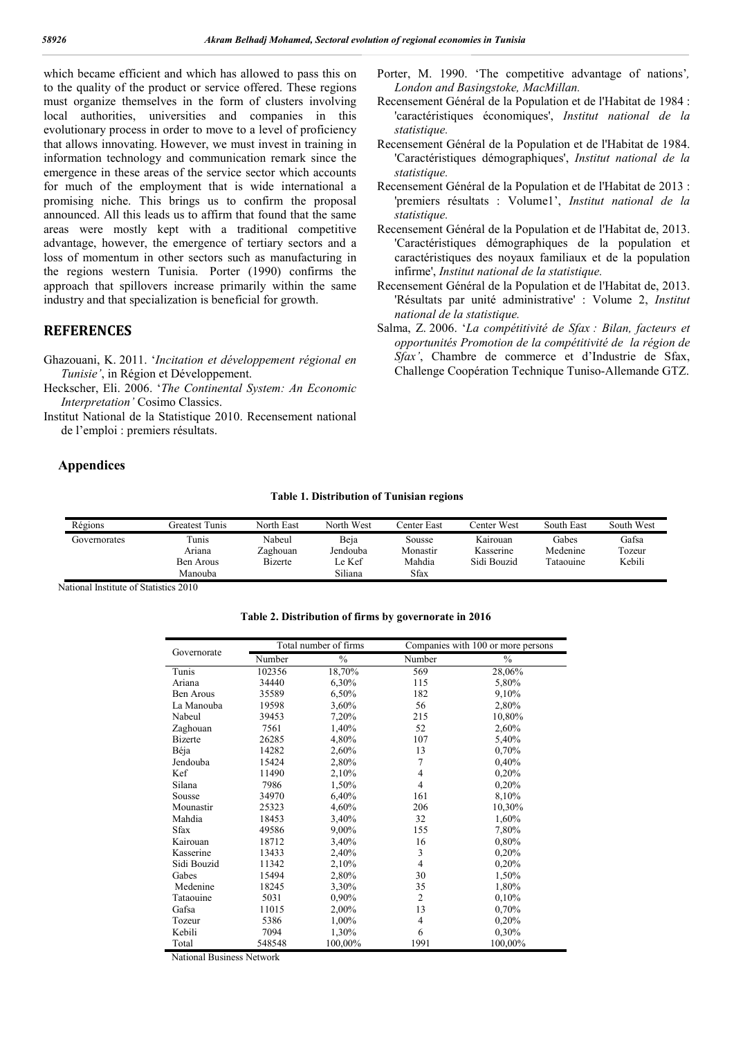which became efficient and which has allowed to pass this on to the quality of the product or service offered. These regions must organize themselves in the form of clusters involving local authorities, universities and companies in this evolutionary process in order to move to a level of proficiency that allows innovating. However, we must invest in training in information technology and communication remark since the emergence in these areas of the service sector which accounts for much of the employment that is wide international a promising niche. This brings us to confirm the proposal announced. All this leads us to affirm that found that the same areas were mostly kept with a traditional competitive advantage, however, the emergence of tertiary sectors and a loss of momentum in other sectors such as manufacturing in the regions western Tunisia. Porter (1990) confirms the approach that spillovers increase primarily within the same industry and that specialization is beneficial for growth.

### **REFERENCES**

- Ghazouani, K. 2011. '*Incitation et développement régional en Tunisie'*, in Région et Développement.
- Heckscher, Eli. 2006. '*The Continental System: An Economic Interpretation'* Cosimo Classics.
- Institut National de la Statistique 2010. Recensement national de l'emploi : premiers résultats.

### **Appendices**

- Porter, M. 1990. 'The competitive advantage of nations'*, London and Basingstoke, MacMillan.*
- Recensement Général de la Population et de l'Habitat de 1984 : 'caractéristiques économiques', *Institut national de la statistique.*
- Recensement Général de la Population et de l'Habitat de 1984. 'Caractéristiques démographiques', *Institut national de la statistique.*
- Recensement Général de la Population et de l'Habitat de 2013 : 'premiers résultats : Volume1', *Institut national de la statistique.*
- Recensement Général de la Population et de l'Habitat de, 2013. 'Caractéristiques démographiques de la population et caractéristiques des noyaux familiaux et de la population infirme', *Institut national de la statistique.*
- Recensement Général de la Population et de l'Habitat de, 2013. 'Résultats par unité administrative' : Volume 2, *Institut national de la statistique.*
- Salma, Z. 2006. '*La compétitivité de Sfax : Bilan, facteurs et opportunités Promotion de la compétitivité de la région de Sfax'*, Chambre de commerce et d'Industrie de Sfax, Challenge Coopération Technique Tuniso-Allemande GTZ.

| Régions      | Greatest Tunis       | North East         | North West       | Center East∶       | ∑enter West           | South East        | South West      |
|--------------|----------------------|--------------------|------------------|--------------------|-----------------------|-------------------|-----------------|
| Governorates | Tunis<br>Arıana      | Nabeul<br>Zaghouan | Beja<br>Jendouba | Sousse<br>Monastir | Kairouan<br>Kasserine | Gabes<br>Medenine | Gafsa<br>Tozeur |
|              | Ben Arous<br>Manouba | Bizerte            | e Kef<br>Siliana | Mahdia<br>Sfax     | Sidi Bouzid           | Tataouine         | Kebili          |

National Institute of Statistics 2010

#### **Table 2. Distribution of firms by governorate in 2016**

|                  |        | Total number of firms | Companies with 100 or more persons |               |  |  |  |
|------------------|--------|-----------------------|------------------------------------|---------------|--|--|--|
| Governorate      | Number | $\%$                  | Number                             | $\frac{0}{0}$ |  |  |  |
| Tunis            | 102356 | 18,70%                | 569                                | 28,06%        |  |  |  |
| Ariana           | 34440  | 6,30%                 | 115                                | 5,80%         |  |  |  |
| <b>Ben Arous</b> | 35589  | 6,50%                 | 182                                | 9,10%         |  |  |  |
| La Manouba       | 19598  | 3,60%                 | 56                                 | 2,80%         |  |  |  |
| Nabeul           | 39453  | 7,20%                 | 215                                | 10,80%        |  |  |  |
| Zaghouan         | 7561   | 1,40%                 | 52                                 | 2,60%         |  |  |  |
| <b>Bizerte</b>   | 26285  | 4,80%                 | 107                                | 5,40%         |  |  |  |
| Béja             | 14282  | 2,60%                 | 13                                 | 0,70%         |  |  |  |
| Jendouba         | 15424  | 2,80%                 | 7                                  | 0,40%         |  |  |  |
| Kef              | 11490  | 2,10%                 | 4                                  | 0,20%         |  |  |  |
| Silana           | 7986   | 1,50%                 | 4                                  | 0,20%         |  |  |  |
| Sousse           | 34970  | 6,40%                 | 161                                | 8,10%         |  |  |  |
| Mounastir        | 25323  | 4,60%                 | 206                                | 10,30%        |  |  |  |
| Mahdia           | 18453  | 3,40%                 | 32                                 | 1,60%         |  |  |  |
| Sfax             | 49586  | 9,00%                 | 155                                | 7,80%         |  |  |  |
| Kairouan         | 18712  | 3,40%                 | 16                                 | 0,80%         |  |  |  |
| Kasserine        | 13433  | 2,40%                 | 3                                  | 0,20%         |  |  |  |
| Sidi Bouzid      | 11342  | 2,10%                 | 4                                  | 0,20%         |  |  |  |
| Gabes            | 15494  | 2,80%                 | 30                                 | 1,50%         |  |  |  |
| Medenine         | 18245  | 3,30%                 | 35                                 | 1,80%         |  |  |  |
| Tataouine        | 5031   | 0,90%                 | $\overline{2}$                     | 0.10%         |  |  |  |
| Gafsa            | 11015  | 2,00%                 | 13                                 | 0,70%         |  |  |  |
| Tozeur           | 5386   | 1,00%                 | 4                                  | 0,20%         |  |  |  |
| Kebili           | 7094   | 1,30%                 | 6                                  | 0,30%         |  |  |  |
| Total            | 548548 | 100,00%               | 1991                               | 100,00%       |  |  |  |

National Business Network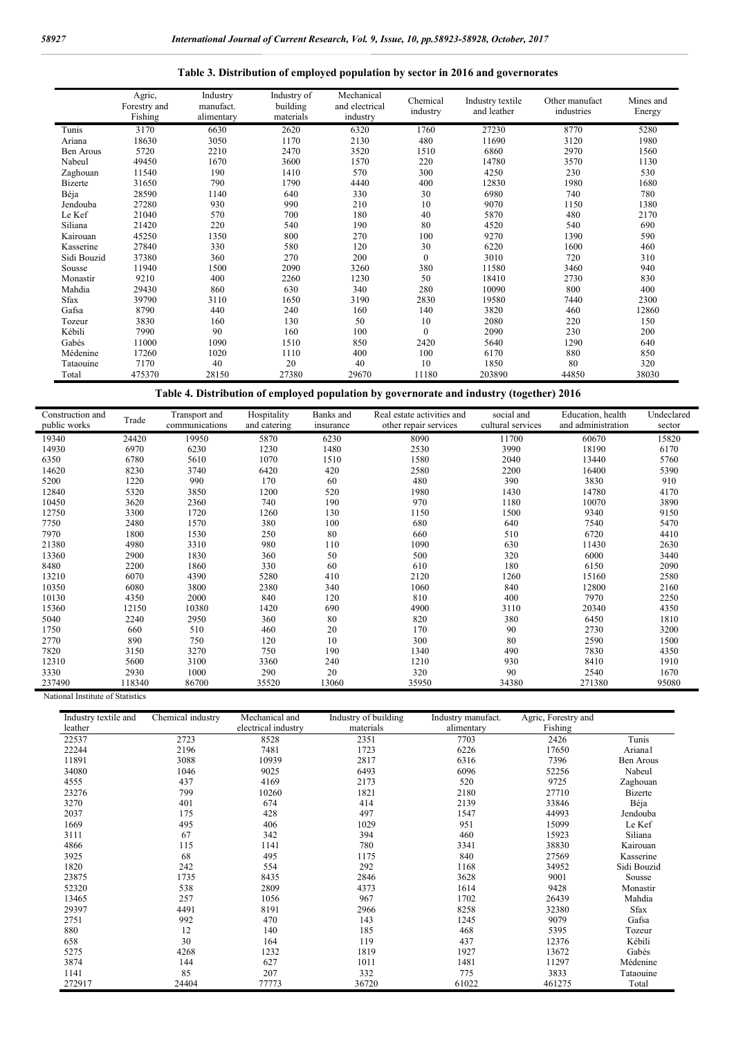|                  | Agric,<br>Forestry and<br>Fishing | Industry<br>manufact.<br>alimentary | Industry of<br>building<br>materials | Mechanical<br>and electrical<br>industry | Chemical<br>industry | Industry textile<br>and leather | Other manufact<br>industries | Mines and<br>Energy |
|------------------|-----------------------------------|-------------------------------------|--------------------------------------|------------------------------------------|----------------------|---------------------------------|------------------------------|---------------------|
| Tunis            | 3170                              | 6630                                | 2620                                 | 6320                                     | 1760                 | 27230                           | 8770                         | 5280                |
| Ariana           | 18630                             | 3050                                | 1170                                 | 2130                                     | 480                  | 11690                           | 3120                         | 1980                |
| <b>Ben Arous</b> | 5720                              | 2210                                | 2470                                 | 3520                                     | 1510                 | 6860                            | 2970                         | 1560                |
| Nabeul           | 49450                             | 1670                                | 3600                                 | 1570                                     | 220                  | 14780                           | 3570                         | 1130                |
| Zaghouan         | 11540                             | 190                                 | 1410                                 | 570                                      | 300                  | 4250                            | 230                          | 530                 |
| <b>Bizerte</b>   | 31650                             | 790                                 | 1790                                 | 4440                                     | 400                  | 12830                           | 1980                         | 1680                |
| Béja             | 28590                             | 1140                                | 640                                  | 330                                      | 30                   | 6980                            | 740                          | 780                 |
| Jendouba         | 27280                             | 930                                 | 990                                  | 210                                      | 10                   | 9070                            | 1150                         | 1380                |
| Le Kef           | 21040                             | 570                                 | 700                                  | 180                                      | 40                   | 5870                            | 480                          | 2170                |
| Siliana          | 21420                             | 220                                 | 540                                  | 190                                      | 80                   | 4520                            | 540                          | 690                 |
| Kairouan         | 45250                             | 1350                                | 800                                  | 270                                      | 100                  | 9270                            | 1390                         | 590                 |
| Kasserine        | 27840                             | 330                                 | 580                                  | 120                                      | 30                   | 6220                            | 1600                         | 460                 |
| Sidi Bouzid      | 37380                             | 360                                 | 270                                  | 200                                      | $\mathbf{0}$         | 3010                            | 720                          | 310                 |
| Sousse           | 11940                             | 1500                                | 2090                                 | 3260                                     | 380                  | 11580                           | 3460                         | 940                 |
| Monastir         | 9210                              | 400                                 | 2260                                 | 1230                                     | 50                   | 18410                           | 2730                         | 830                 |
| Mahdia           | 29430                             | 860                                 | 630                                  | 340                                      | 280                  | 10090                           | 800                          | 400                 |
| Sfax             | 39790                             | 3110                                | 1650                                 | 3190                                     | 2830                 | 19580                           | 7440                         | 2300                |
| Gafsa            | 8790                              | 440                                 | 240                                  | 160                                      | 140                  | 3820                            | 460                          | 12860               |
| Tozeur           | 3830                              | 160                                 | 130                                  | 50                                       | 10                   | 2080                            | 220                          | 150                 |
| Kébili           | 7990                              | 90                                  | 160                                  | 100                                      | $\mathbf{0}$         | 2090                            | 230                          | 200                 |
| Gabés            | 11000                             | 1090                                | 1510                                 | 850                                      | 2420                 | 5640                            | 1290                         | 640                 |
| Médenine         | 17260                             | 1020                                | 1110                                 | 400                                      | 100                  | 6170                            | 880                          | 850                 |
| Tataouine        | 7170                              | 40                                  | 20                                   | 40                                       | 10                   | 1850                            | 80                           | 320                 |
| Total            | 475370                            | 28150                               | 27380                                | 29670                                    | 11180                | 203890                          | 44850                        | 38030               |

## **Table 3. Distribution of employed population by sector in 2016 and governorates**

**Table 4. Distribution of employed population by governorate and industry (together) 2016**

| Construction and | Transport and<br>Trade |                | Hospitality  | Banks and | Real estate activities and | social and        | Education, health  | Undeclared |
|------------------|------------------------|----------------|--------------|-----------|----------------------------|-------------------|--------------------|------------|
| public works     |                        | communications | and catering | insurance | other repair services      | cultural services | and administration | sector     |
| 19340            | 24420                  | 19950          | 5870         | 6230      | 8090                       | 11700             | 60670              | 15820      |
| 14930            | 6970                   | 6230           | 1230         | 1480      | 2530                       | 3990              | 18190              | 6170       |
| 6350             | 6780                   | 5610           | 1070         | 1510      | 1580                       | 2040              | 13440              | 5760       |
| 14620            | 8230                   | 3740           | 6420         | 420       | 2580                       | 2200              | 16400              | 5390       |
| 5200             | 1220                   | 990            | 170          | 60        | 480                        | 390               | 3830               | 910        |
| 12840            | 5320                   | 3850           | 1200         | 520       | 1980                       | 1430              | 14780              | 4170       |
| 10450            | 3620                   | 2360           | 740          | 190       | 970                        | 1180              | 10070              | 3890       |
| 12750            | 3300                   | 1720           | 1260         | 130       | 1150                       | 1500              | 9340               | 9150       |
| 7750             | 2480                   | 1570           | 380          | 100       | 680                        | 640               | 7540               | 5470       |
| 7970             | 1800                   | 1530           | 250          | 80        | 660                        | 510               | 6720               | 4410       |
| 21380            | 4980                   | 3310           | 980          | 110       | 1090                       | 630               | 11430              | 2630       |
| 13360            | 2900                   | 1830           | 360          | 50        | 500                        | 320               | 6000               | 3440       |
| 8480             | 2200                   | 1860           | 330          | 60        | 610                        | 180               | 6150               | 2090       |
| 13210            | 6070                   | 4390           | 5280         | 410       | 2120                       | 1260              | 15160              | 2580       |
| 10350            | 6080                   | 3800           | 2380         | 340       | 1060                       | 840               | 12800              | 2160       |
| 10130            | 4350                   | 2000           | 840          | 120       | 810                        | 400               | 7970               | 2250       |
| 15360            | 12150                  | 10380          | 1420         | 690       | 4900                       | 3110              | 20340              | 4350       |
| 5040             | 2240                   | 2950           | 360          | 80        | 820                        | 380               | 6450               | 1810       |
| 1750             | 660                    | 510            | 460          | 20        | 170                        | 90                | 2730               | 3200       |
| 2770             | 890                    | 750            | 120          | 10        | 300                        | 80                | 2590               | 1500       |
| 7820             | 3150                   | 3270           | 750          | 190       | 1340                       | 490               | 7830               | 4350       |
| 12310            | 5600                   | 3100           | 3360         | 240       | 1210                       | 930               | 8410               | 1910       |
| 3330             | 2930                   | 1000           | 290          | 20        | 320                        | 90                | 2540               | 1670       |
| 237490           | 118340                 | 86700          | 35520        | 13060     | 35950                      | 34380             | 271380             | 95080      |

National Institute of Statistics

| Industry textile and<br>leather | Chemical industry | Mechanical and<br>electrical industry | Industry of building<br>materials | Industry manufact.<br>alimentary | Agric, Forestry and<br>Fishing |                |
|---------------------------------|-------------------|---------------------------------------|-----------------------------------|----------------------------------|--------------------------------|----------------|
| 22537                           | 2723              | 8528                                  | 2351                              | 7703                             | 2426                           | Tunis          |
| 22244                           | 2196              | 7481                                  | 1723                              | 6226                             | 17650                          | Ariana1        |
| 11891                           | 3088              | 10939                                 | 2817                              | 6316                             | 7396                           | Ben Arous      |
| 34080                           | 1046              | 9025                                  | 6493                              | 6096                             | 52256                          | Nabeul         |
| 4555                            | 437               | 4169                                  | 2173                              | 520                              | 9725                           | Zaghouan       |
| 23276                           | 799               | 10260                                 | 1821                              | 2180                             | 27710                          | <b>Bizerte</b> |
| 3270                            | 401               | 674                                   | 414                               | 2139                             | 33846                          | Béja           |
| 2037                            | 175               | 428                                   | 497                               | 1547                             | 44993                          | Jendouba       |
| 1669                            | 495               | 406                                   | 1029                              | 951                              | 15099                          | Le Kef         |
| 3111                            | 67                | 342                                   | 394                               | 460                              | 15923                          | Siliana        |
| 4866                            | 115               | 1141                                  | 780                               | 3341                             | 38830                          | Kairouan       |
| 3925                            | 68                | 495                                   | 1175                              | 840                              | 27569                          | Kasserine      |
| 1820                            | 242               | 554                                   | 292                               | 1168                             | 34952                          | Sidi Bouzid    |
| 23875                           | 1735              | 8435                                  | 2846                              | 3628                             | 9001                           | Sousse         |
| 52320                           | 538               | 2809                                  | 4373                              | 1614                             | 9428                           | Monastir       |
| 13465                           | 257               | 1056                                  | 967                               | 1702                             | 26439                          | Mahdia         |
| 29397                           | 4491              | 8191                                  | 2966                              | 8258                             | 32380                          | <b>Sfax</b>    |
| 2751                            | 992               | 470                                   | 143                               | 1245                             | 9079                           | Gafsa          |
| 880                             | 12                | 140                                   | 185                               | 468                              | 5395                           | Tozeur         |
| 658                             | 30                | 164                                   | 119                               | 437                              | 12376                          | Kébili         |
| 5275                            | 4268              | 1232                                  | 1819                              | 1927                             | 13672                          | Gabés          |
| 3874                            | 144               | 627                                   | 1011                              | 1481                             | 11297                          | Médenine       |
| 1141                            | 85                | 207                                   | 332                               | 775                              | 3833                           | Tataouine      |
| 272917                          | 24404             | 77773                                 | 36720                             | 61022                            | 461275                         | Total          |